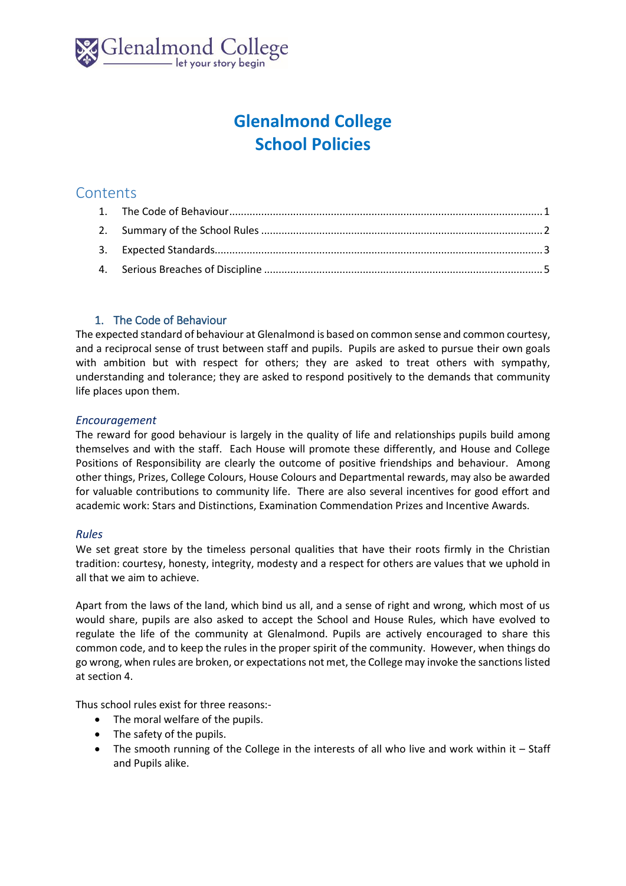

# **Glenalmond College School Policies**

## **Contents**

## 1. The Code of Behaviour

<span id="page-0-0"></span>The expected standard of behaviour at Glenalmond is based on common sense and common courtesy, and a reciprocal sense of trust between staff and pupils. Pupils are asked to pursue their own goals with ambition but with respect for others; they are asked to treat others with sympathy, understanding and tolerance; they are asked to respond positively to the demands that community life places upon them.

## *Encouragement*

The reward for good behaviour is largely in the quality of life and relationships pupils build among themselves and with the staff. Each House will promote these differently, and House and College Positions of Responsibility are clearly the outcome of positive friendships and behaviour. Among other things, Prizes, College Colours, House Colours and Departmental rewards, may also be awarded for valuable contributions to community life. There are also several incentives for good effort and academic work: Stars and Distinctions, Examination Commendation Prizes and Incentive Awards.

## *Rules*

We set great store by the timeless personal qualities that have their roots firmly in the Christian tradition: courtesy, honesty, integrity, modesty and a respect for others are values that we uphold in all that we aim to achieve.

Apart from the laws of the land, which bind us all, and a sense of right and wrong, which most of us would share, pupils are also asked to accept the School and House Rules, which have evolved to regulate the life of the community at Glenalmond. Pupils are actively encouraged to share this common code, and to keep the rules in the proper spirit of the community. However, when things do go wrong, when rules are broken, or expectations not met, the College may invoke the sanctions listed at section 4.

Thus school rules exist for three reasons:-

- The moral welfare of the pupils.
- The safety of the pupils.
- The smooth running of the College in the interests of all who live and work within it Staff and Pupils alike.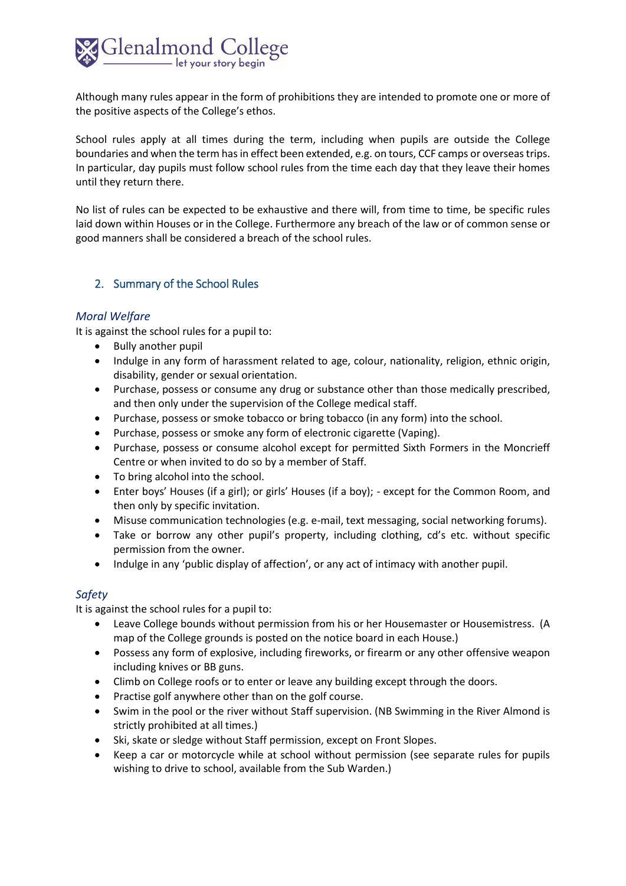

Although many rules appear in the form of prohibitions they are intended to promote one or more of the positive aspects of the College's ethos.

School rules apply at all times during the term, including when pupils are outside the College boundaries and when the term has in effect been extended, e.g. on tours, CCF camps or overseas trips. In particular, day pupils must follow school rules from the time each day that they leave their homes until they return there.

No list of rules can be expected to be exhaustive and there will, from time to time, be specific rules laid down within Houses or in the College. Furthermore any breach of the law or of common sense or good manners shall be considered a breach of the school rules.

## <span id="page-1-0"></span>2. Summary of the School Rules

#### *Moral Welfare*

It is against the school rules for a pupil to:

- Bully another pupil
- Indulge in any form of harassment related to age, colour, nationality, religion, ethnic origin, disability, gender or sexual orientation.
- Purchase, possess or consume any drug or substance other than those medically prescribed, and then only under the supervision of the College medical staff.
- Purchase, possess or smoke tobacco or bring tobacco (in any form) into the school.
- Purchase, possess or smoke any form of electronic cigarette (Vaping).
- Purchase, possess or consume alcohol except for permitted Sixth Formers in the Moncrieff Centre or when invited to do so by a member of Staff.
- To bring alcohol into the school.
- Enter boys' Houses (if a girl); or girls' Houses (if a boy); except for the Common Room, and then only by specific invitation.
- Misuse communication technologies (e.g. e-mail, text messaging, social networking forums).
- Take or borrow any other pupil's property, including clothing, cd's etc. without specific permission from the owner.
- Indulge in any 'public display of affection', or any act of intimacy with another pupil.

## *Safety*

It is against the school rules for a pupil to:

- Leave College bounds without permission from his or her Housemaster or Housemistress. (A map of the College grounds is posted on the notice board in each House.)
- Possess any form of explosive, including fireworks, or firearm or any other offensive weapon including knives or BB guns.
- Climb on College roofs or to enter or leave any building except through the doors.
- Practise golf anywhere other than on the golf course.
- Swim in the pool or the river without Staff supervision. (NB Swimming in the River Almond is strictly prohibited at all times.)
- Ski, skate or sledge without Staff permission, except on Front Slopes.
- Keep a car or motorcycle while at school without permission (see separate rules for pupils wishing to drive to school, available from the Sub Warden.)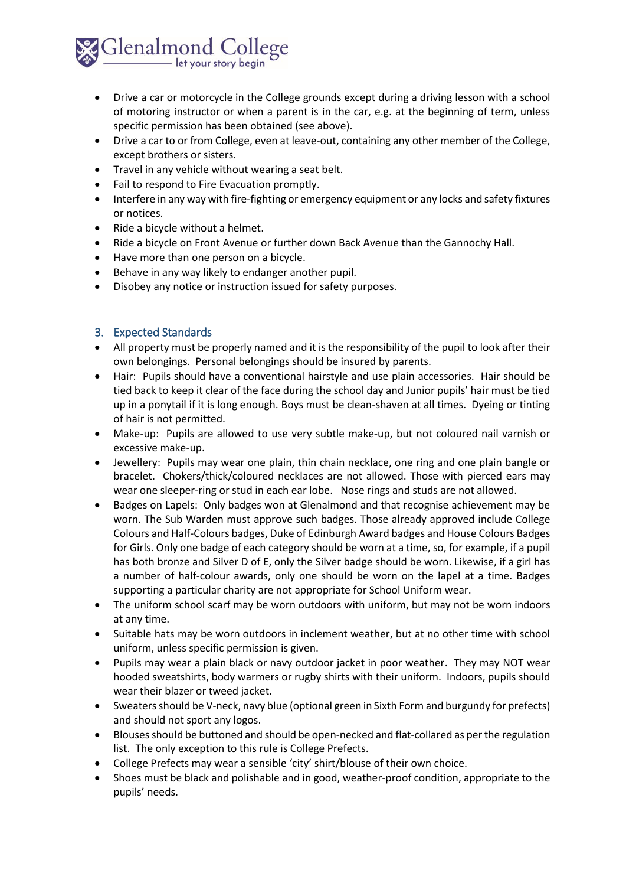

- Drive a car or motorcycle in the College grounds except during a driving lesson with a school of motoring instructor or when a parent is in the car, e.g. at the beginning of term, unless specific permission has been obtained (see above).
- Drive a car to or from College, even at leave-out, containing any other member of the College, except brothers or sisters.
- Travel in any vehicle without wearing a seat belt.
- Fail to respond to Fire Evacuation promptly.
- Interfere in any way with fire-fighting or emergency equipment or any locks and safety fixtures or notices.
- Ride a bicycle without a helmet.
- Ride a bicycle on Front Avenue or further down Back Avenue than the Gannochy Hall.
- Have more than one person on a bicycle.
- Behave in any way likely to endanger another pupil.
- Disobey any notice or instruction issued for safety purposes.

## <span id="page-2-0"></span>3. Expected Standards

- All property must be properly named and it is the responsibility of the pupil to look after their own belongings. Personal belongings should be insured by parents.
- Hair: Pupils should have a conventional hairstyle and use plain accessories. Hair should be tied back to keep it clear of the face during the school day and Junior pupils' hair must be tied up in a ponytail if it is long enough. Boys must be clean-shaven at all times. Dyeing or tinting of hair is not permitted.
- Make-up: Pupils are allowed to use very subtle make-up, but not coloured nail varnish or excessive make-up.
- Jewellery: Pupils may wear one plain, thin chain necklace, one ring and one plain bangle or bracelet. Chokers/thick/coloured necklaces are not allowed. Those with pierced ears may wear one sleeper-ring or stud in each ear lobe. Nose rings and studs are not allowed.
- Badges on Lapels: Only badges won at Glenalmond and that recognise achievement may be worn. The Sub Warden must approve such badges. Those already approved include College Colours and Half-Colours badges, Duke of Edinburgh Award badges and House Colours Badges for Girls. Only one badge of each category should be worn at a time, so, for example, if a pupil has both bronze and Silver D of E, only the Silver badge should be worn. Likewise, if a girl has a number of half-colour awards, only one should be worn on the lapel at a time. Badges supporting a particular charity are not appropriate for School Uniform wear.
- The uniform school scarf may be worn outdoors with uniform, but may not be worn indoors at any time.
- Suitable hats may be worn outdoors in inclement weather, but at no other time with school uniform, unless specific permission is given.
- Pupils may wear a plain black or navy outdoor jacket in poor weather. They may NOT wear hooded sweatshirts, body warmers or rugby shirts with their uniform. Indoors, pupils should wear their blazer or tweed jacket.
- Sweaters should be V-neck, navy blue (optional green in Sixth Form and burgundy for prefects) and should not sport any logos.
- Blouses should be buttoned and should be open-necked and flat-collared as per the regulation list. The only exception to this rule is College Prefects.
- College Prefects may wear a sensible 'city' shirt/blouse of their own choice.
- Shoes must be black and polishable and in good, weather-proof condition, appropriate to the pupils' needs.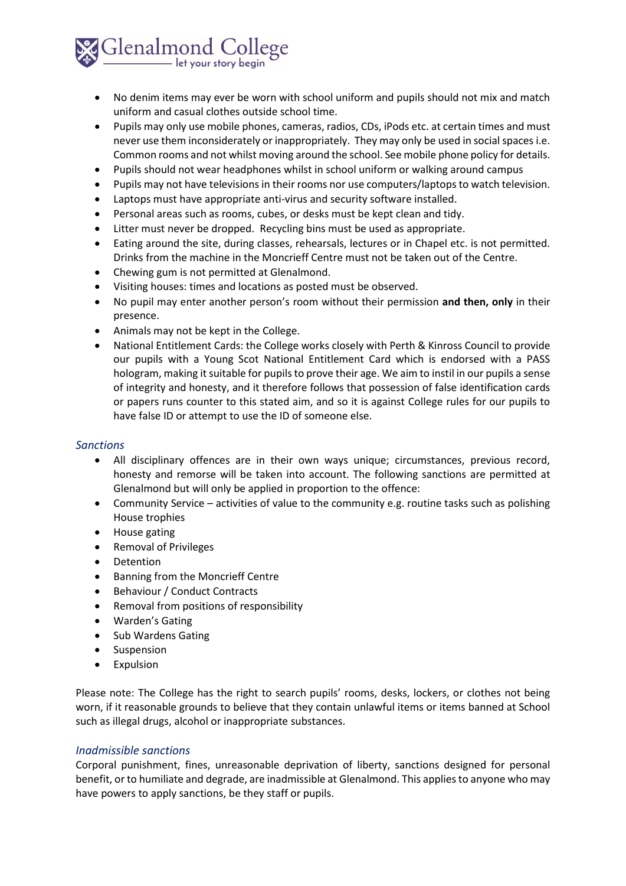

- No denim items may ever be worn with school uniform and pupils should not mix and match uniform and casual clothes outside school time.
- Pupils may only use mobile phones, cameras, radios, CDs, iPods etc. at certain times and must never use them inconsiderately or inappropriately. They may only be used in social spaces i.e. Common rooms and not whilst moving around the school. See mobile phone policy for details.
- Pupils should not wear headphones whilst in school uniform or walking around campus
- Pupils may not have televisions in their rooms nor use computers/laptops to watch television.
- Laptops must have appropriate anti-virus and security software installed.
- Personal areas such as rooms, cubes, or desks must be kept clean and tidy.
- Litter must never be dropped. Recycling bins must be used as appropriate.
- Eating around the site, during classes, rehearsals, lectures or in Chapel etc. is not permitted. Drinks from the machine in the Moncrieff Centre must not be taken out of the Centre.
- Chewing gum is not permitted at Glenalmond.
- Visiting houses: times and locations as posted must be observed.
- No pupil may enter another person's room without their permission **and then, only** in their presence.
- Animals may not be kept in the College.
- National Entitlement Cards: the College works closely with Perth & Kinross Council to provide our pupils with a Young Scot National Entitlement Card which is endorsed with a PASS hologram, making it suitable for pupils to prove their age. We aim to instil in our pupils a sense of integrity and honesty, and it therefore follows that possession of false identification cards or papers runs counter to this stated aim, and so it is against College rules for our pupils to have false ID or attempt to use the ID of someone else.

#### *Sanctions*

- All disciplinary offences are in their own ways unique; circumstances, previous record, honesty and remorse will be taken into account. The following sanctions are permitted at Glenalmond but will only be applied in proportion to the offence:
- Community Service activities of value to the community e.g. routine tasks such as polishing House trophies
- House gating
- Removal of Privileges
- Detention
- Banning from the Moncrieff Centre
- Behaviour / Conduct Contracts
- Removal from positions of responsibility
- Warden's Gating
- Sub Wardens Gating
- Suspension
- Expulsion

Please note: The College has the right to search pupils' rooms, desks, lockers, or clothes not being worn, if it reasonable grounds to believe that they contain unlawful items or items banned at School such as illegal drugs, alcohol or inappropriate substances.

#### *Inadmissible sanctions*

Corporal punishment, fines, unreasonable deprivation of liberty, sanctions designed for personal benefit, or to humiliate and degrade, are inadmissible at Glenalmond. This applies to anyone who may have powers to apply sanctions, be they staff or pupils.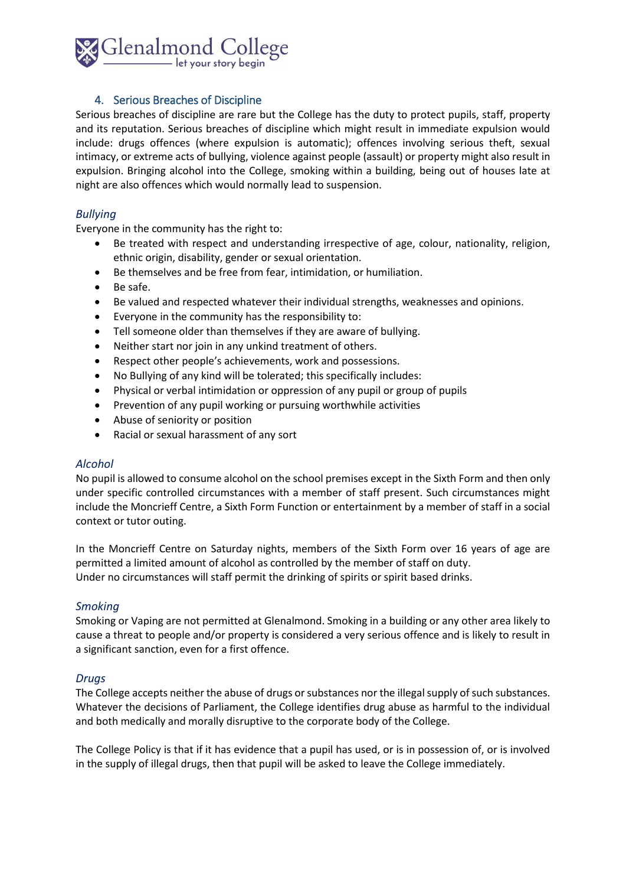

## 4. Serious Breaches of Discipline

<span id="page-4-0"></span>Serious breaches of discipline are rare but the College has the duty to protect pupils, staff, property and its reputation. Serious breaches of discipline which might result in immediate expulsion would include: drugs offences (where expulsion is automatic); offences involving serious theft, sexual intimacy, or extreme acts of bullying, violence against people (assault) or property might also result in expulsion. Bringing alcohol into the College, smoking within a building, being out of houses late at night are also offences which would normally lead to suspension.

## *Bullying*

Everyone in the community has the right to:

- Be treated with respect and understanding irrespective of age, colour, nationality, religion, ethnic origin, disability, gender or sexual orientation.
- Be themselves and be free from fear, intimidation, or humiliation.
- Be safe.
- Be valued and respected whatever their individual strengths, weaknesses and opinions.
- Everyone in the community has the responsibility to:
- Tell someone older than themselves if they are aware of bullying.
- Neither start nor join in any unkind treatment of others.
- Respect other people's achievements, work and possessions.
- No Bullying of any kind will be tolerated; this specifically includes:
- Physical or verbal intimidation or oppression of any pupil or group of pupils
- Prevention of any pupil working or pursuing worthwhile activities
- Abuse of seniority or position
- Racial or sexual harassment of any sort

#### *Alcohol*

No pupil is allowed to consume alcohol on the school premises except in the Sixth Form and then only under specific controlled circumstances with a member of staff present. Such circumstances might include the Moncrieff Centre, a Sixth Form Function or entertainment by a member of staff in a social context or tutor outing.

In the Moncrieff Centre on Saturday nights, members of the Sixth Form over 16 years of age are permitted a limited amount of alcohol as controlled by the member of staff on duty. Under no circumstances will staff permit the drinking of spirits or spirit based drinks.

#### *Smoking*

Smoking or Vaping are not permitted at Glenalmond. Smoking in a building or any other area likely to cause a threat to people and/or property is considered a very serious offence and is likely to result in a significant sanction, even for a first offence.

#### *Drugs*

The College accepts neither the abuse of drugs or substances nor the illegal supply of such substances. Whatever the decisions of Parliament, the College identifies drug abuse as harmful to the individual and both medically and morally disruptive to the corporate body of the College.

The College Policy is that if it has evidence that a pupil has used, or is in possession of, or is involved in the supply of illegal drugs, then that pupil will be asked to leave the College immediately.